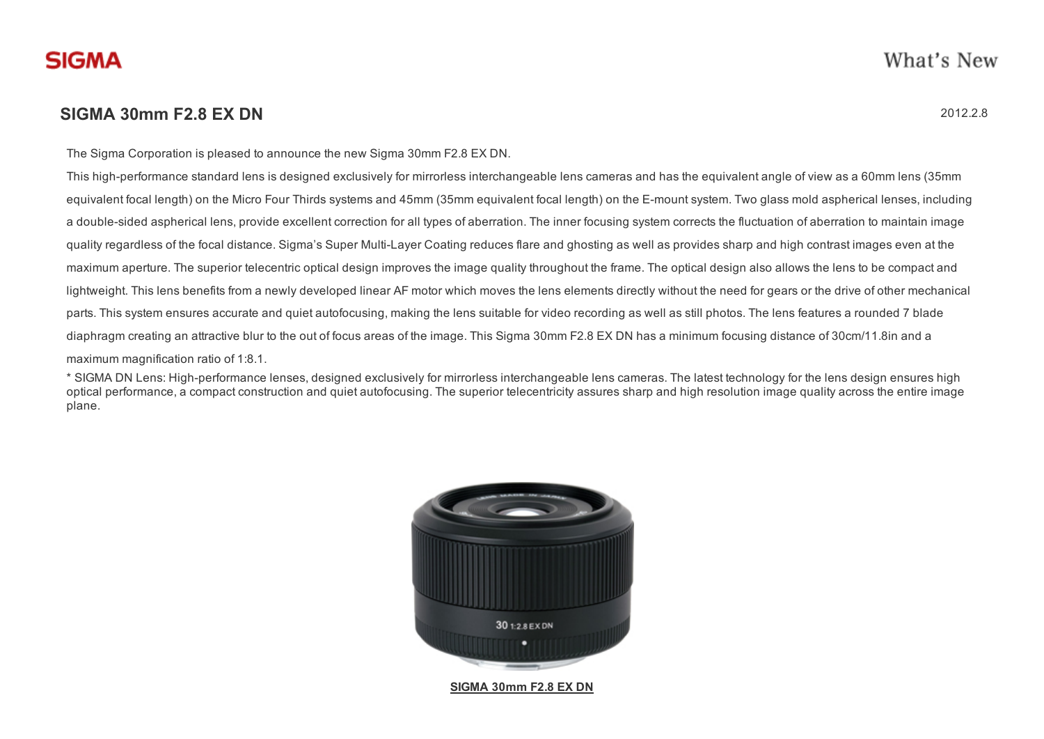## SIGMA 30mm F2.8 EX DN 2012.2.8

The Sigma Corporation is pleased to announce the new Sigma 30mm F2.8 EX DN.

This high-performance standard lens is designed exclusively for mirrorless interchangeable lens cameras and has the equivalent angle of view as a 60mm lens (35mm equivalent focal length) on the Micro Four Thirds systems and 45mm (35mm equivalent focal length) on the E-mount system. Two glass mold aspherical lenses, including a double-sided aspherical lens, provide excellent correction for all types of aberration. The inner focusing system corrects the fluctuation of aberration to maintain image quality regardless of the focal distance. Sigma's Super Multi-Layer Coating reduces flare and ghosting as well as provides sharp and high contrast images even at the maximum aperture. The superior telecentric optical design improves the image quality throughout the frame. The optical design also allows the lens to be compact and lightweight. This lens benefits from a newly developed linear AF motor which moves the lens elements directly without the need for gears or the drive of other mechanical parts. This system ensures accurate and quiet autofocusing, making the lens suitable for video recording as well as still photos. The lens features a rounded 7 blade diaphragm creating an attractive blur to the out of focus areas of the image. This Sigma 30mm F2.8 EX DN has a minimum focusing distance of 30cm/11.8in and a maximum magnification ratio of 1:8.1.

\* SIGMA DN Lens: High-performance lenses, designed exclusively for mirrorless interchangeable lens cameras. The latest technology for the lens design ensures high optical performance, a compact construction and quiet autofocusing. The superior telecentricity assures sharp and high resolution image quality across the entire image plane.



SIGMA 30mm F2.8 EX DN